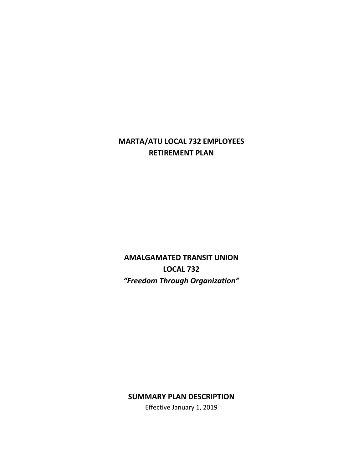# **MARTA/ATU LOCAL 732 EMPLOYEES RETIREMENT PLAN**

**AMALGAMATED TRANSIT UNION LOCAL 732** *"Freedom Through Organization"*

# **SUMMARY PLAN DESCRIPTION**

Effective January 1, 2019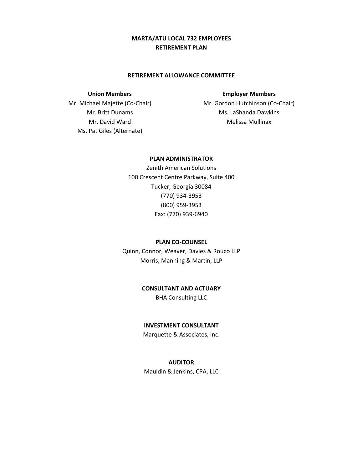## **MARTA/ATU LOCAL 732 EMPLOYEES RETIREMENT PLAN**

#### **RETIREMENT ALLOWANCE COMMITTEE**

#### **Union Members**

Mr. Michael Majette (Co-Chair) Mr. Britt Dunams Mr. David Ward Ms. Pat Giles (Alternate)

#### **Employer Members**

Mr. Gordon Hutchinson (Co-Chair) Ms. LaShanda Dawkins Melissa Mullinax

#### **PLAN ADMINISTRATOR**

Zenith American Solutions 100 Crescent Centre Parkway, Suite 400 Tucker, Georgia 30084 (770) 934-3953 (800) 959-3953 Fax: (770) 939-6940

#### **PLAN CO-COUNSEL**

Quinn, Connor, Weaver, Davies & Rouco LLP Morris, Manning & Martin, LLP

## **CONSULTANT AND ACTUARY**

BHA Consulting LLC

#### **INVESTMENT CONSULTANT**

Marquette & Associates, Inc.

## **AUDITOR**

Mauldin & Jenkins, CPA, LLC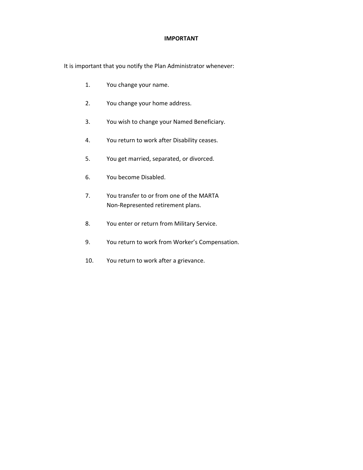#### **IMPORTANT**

It is important that you notify the Plan Administrator whenever:

- 1. You change your name.
- 2. You change your home address.
- 3. You wish to change your Named Beneficiary.
- 4. You return to work after Disability ceases.
- 5. You get married, separated, or divorced.
- 6. You become Disabled.
- 7. You transfer to or from one of the MARTA Non-Represented retirement plans.
- 8. You enter or return from Military Service.
- 9. You return to work from Worker's Compensation.
- 10. You return to work after a grievance.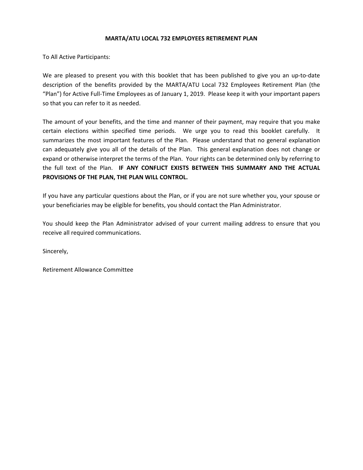#### **MARTA/ATU LOCAL 732 EMPLOYEES RETIREMENT PLAN**

To All Active Participants:

We are pleased to present you with this booklet that has been published to give you an up-to-date description of the benefits provided by the MARTA/ATU Local 732 Employees Retirement Plan (the "Plan") for Active Full-Time Employees as of January 1, 2019. Please keep it with your important papers so that you can refer to it as needed.

The amount of your benefits, and the time and manner of their payment, may require that you make certain elections within specified time periods. We urge you to read this booklet carefully. It summarizes the most important features of the Plan. Please understand that no general explanation can adequately give you all of the details of the Plan. This general explanation does not change or expand or otherwise interpret the terms of the Plan. Your rights can be determined only by referring to the full text of the Plan. **IF ANY CONFLICT EXISTS BETWEEN THIS SUMMARY AND THE ACTUAL PROVISIONS OF THE PLAN, THE PLAN WILL CONTROL.**

If you have any particular questions about the Plan, or if you are not sure whether you, your spouse or your beneficiaries may be eligible for benefits, you should contact the Plan Administrator.

You should keep the Plan Administrator advised of your current mailing address to ensure that you receive all required communications.

Sincerely,

Retirement Allowance Committee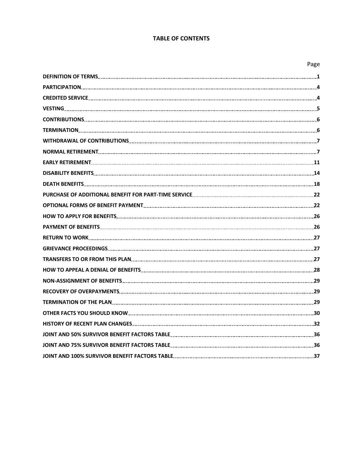#### **TABLE OF CONTENTS**

|                                                                                                                          | Page |
|--------------------------------------------------------------------------------------------------------------------------|------|
|                                                                                                                          |      |
|                                                                                                                          |      |
|                                                                                                                          |      |
|                                                                                                                          |      |
|                                                                                                                          |      |
|                                                                                                                          |      |
|                                                                                                                          |      |
|                                                                                                                          |      |
|                                                                                                                          |      |
|                                                                                                                          |      |
|                                                                                                                          |      |
|                                                                                                                          |      |
|                                                                                                                          |      |
|                                                                                                                          |      |
|                                                                                                                          |      |
|                                                                                                                          |      |
|                                                                                                                          |      |
|                                                                                                                          |      |
| HOW TO APPEAL A DENIAL OF BENEFITS <b>[19] A REFIGE A REFIGE A REFIGE A</b> SALE ASSESSED A 28                           |      |
|                                                                                                                          |      |
|                                                                                                                          |      |
|                                                                                                                          |      |
|                                                                                                                          |      |
|                                                                                                                          |      |
|                                                                                                                          |      |
| JOINT AND 75% SURVIVOR BENEFIT FACTORS TABLE <b>www.community.community.community.com</b> munity.com                     |      |
| JOINT AND 100% SURVIVOR BENEFIT FACTORS TABLE <b>Suppleman and the community of the contract of the contract of the </b> |      |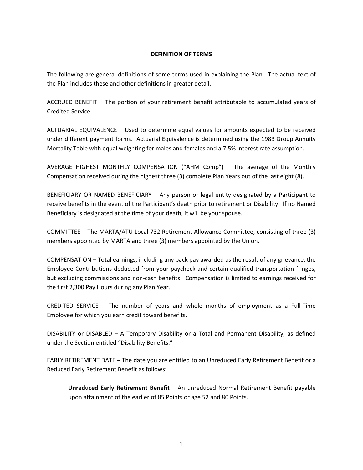#### **DEFINITION OF TERMS**

The following are general definitions of some terms used in explaining the Plan. The actual text of the Plan includes these and other definitions in greater detail.

ACCRUED BENEFIT – The portion of your retirement benefit attributable to accumulated years of Credited Service.

ACTUARIAL EQUIVALENCE – Used to determine equal values for amounts expected to be received under different payment forms. Actuarial Equivalence is determined using the 1983 Group Annuity Mortality Table with equal weighting for males and females and a 7.5% interest rate assumption.

AVERAGE HIGHEST MONTHLY COMPENSATION ("AHM Comp") – The average of the Monthly Compensation received during the highest three (3) complete Plan Years out of the last eight (8).

BENEFICIARY OR NAMED BENEFICIARY – Any person or legal entity designated by a Participant to receive benefits in the event of the Participant's death prior to retirement or Disability. If no Named Beneficiary is designated at the time of your death, it will be your spouse.

COMMITTEE – The MARTA/ATU Local 732 Retirement Allowance Committee, consisting of three (3) members appointed by MARTA and three (3) members appointed by the Union.

COMPENSATION – Total earnings, including any back pay awarded as the result of any grievance, the Employee Contributions deducted from your paycheck and certain qualified transportation fringes, but excluding commissions and non-cash benefits. Compensation is limited to earnings received for the first 2,300 Pay Hours during any Plan Year.

CREDITED SERVICE – The number of years and whole months of employment as a Full-Time Employee for which you earn credit toward benefits.

DISABILITY or DISABLED – A Temporary Disability or a Total and Permanent Disability, as defined under the Section entitled "Disability Benefits."

EARLY RETIREMENT DATE – The date you are entitled to an Unreduced Early Retirement Benefit or a Reduced Early Retirement Benefit as follows:

**Unreduced Early Retirement Benefit** – An unreduced Normal Retirement Benefit payable upon attainment of the earlier of 85 Points or age 52 and 80 Points.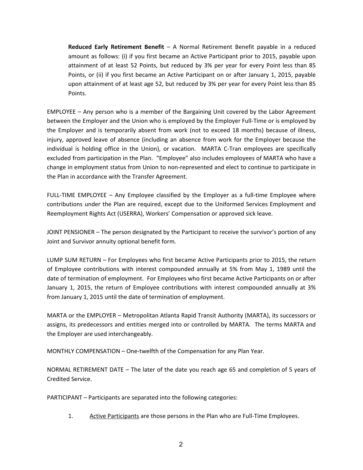**Reduced Early Retirement Benefit** – A Normal Retirement Benefit payable in a reduced amount as follows: (i) if you first became an Active Participant prior to 2015, payable upon attainment of at least 52 Points, but reduced by 3% per year for every Point less than 85 Points, or (ii) if you first became an Active Participant on or after January 1, 2015, payable upon attainment of at least age 52, but reduced by 3% per year for every Point less than 85 Points.

EMPLOYEE – Any person who is a member of the Bargaining Unit covered by the Labor Agreement between the Employer and the Union who is employed by the Employer Full-Time or is employed by the Employer and is temporarily absent from work (not to exceed 18 months) because of illness, injury, approved leave of absence (including an absence from work for the Employer because the individual is holding office in the Union), or vacation. MARTA C-Tran employees are specifically excluded from participation in the Plan. "Employee" also includes employees of MARTA who have a change in employment status from Union to non-represented and elect to continue to participate in the Plan in accordance with the Transfer Agreement.

FULL-TIME EMPLOYEE – Any Employee classified by the Employer as a full-time Employee where contributions under the Plan are required, except due to the Uniformed Services Employment and Reemployment Rights Act (USERRA), Workers' Compensation or approved sick leave.

JOINT PENSIONER – The person designated by the Participant to receive the survivor's portion of any Joint and Survivor annuity optional benefit form.

LUMP SUM RETURN – For Employees who first became Active Participants prior to 2015, the return of Employee contributions with interest compounded annually at 5% from May 1, 1989 until the date of termination of employment. For Employees who first became Active Participants on or after January 1, 2015, the return of Employee contributions with interest compounded annually at 3% from January 1, 2015 until the date of termination of employment.

MARTA or the EMPLOYER – Metropolitan Atlanta Rapid Transit Authority (MARTA), its successors or assigns, its predecessors and entities merged into or controlled by MARTA. The terms MARTA and the Employer are used interchangeably.

MONTHLY COMPENSATION – One-twelfth of the Compensation for any Plan Year.

NORMAL RETIREMENT DATE – The later of the date you reach age 65 and completion of 5 years of Credited Service.

PARTICIPANT – Participants are separated into the following categories:

1. Active Participants are those persons in the Plan who are Full-Time Employees.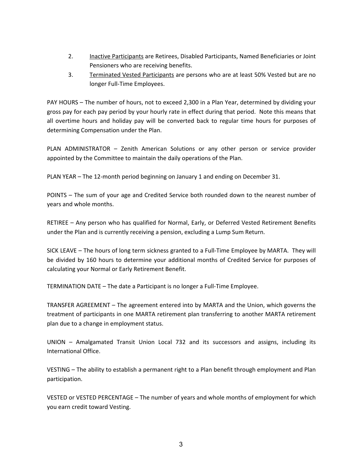- 2. Inactive Participants are Retirees, Disabled Participants, Named Beneficiaries or Joint Pensioners who are receiving benefits.
- 3. Terminated Vested Participants are persons who are at least 50% Vested but are no longer Full-Time Employees.

PAY HOURS – The number of hours, not to exceed 2,300 in a Plan Year, determined by dividing your gross pay for each pay period by your hourly rate in effect during that period. Note this means that all overtime hours and holiday pay will be converted back to regular time hours for purposes of determining Compensation under the Plan.

PLAN ADMINISTRATOR – Zenith American Solutions or any other person or service provider appointed by the Committee to maintain the daily operations of the Plan.

PLAN YEAR – The 12-month period beginning on January 1 and ending on December 31.

POINTS – The sum of your age and Credited Service both rounded down to the nearest number of years and whole months.

RETIREE – Any person who has qualified for Normal, Early, or Deferred Vested Retirement Benefits under the Plan and is currently receiving a pension, excluding a Lump Sum Return.

SICK LEAVE – The hours of long term sickness granted to a Full-Time Employee by MARTA. They will be divided by 160 hours to determine your additional months of Credited Service for purposes of calculating your Normal or Early Retirement Benefit.

TERMINATION DATE – The date a Participant is no longer a Full-Time Employee.

TRANSFER AGREEMENT – The agreement entered into by MARTA and the Union, which governs the treatment of participants in one MARTA retirement plan transferring to another MARTA retirement plan due to a change in employment status.

UNION – Amalgamated Transit Union Local 732 and its successors and assigns, including its International Office.

VESTING – The ability to establish a permanent right to a Plan benefit through employment and Plan participation.

VESTED or VESTED PERCENTAGE – The number of years and whole months of employment for which you earn credit toward Vesting.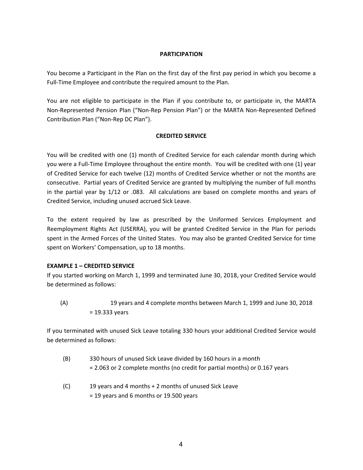#### **PARTICIPATION**

You become a Participant in the Plan on the first day of the first pay period in which you become a Full-Time Employee and contribute the required amount to the Plan.

You are not eligible to participate in the Plan if you contribute to, or participate in, the MARTA Non-Represented Pension Plan ("Non-Rep Pension Plan") or the MARTA Non-Represented Defined Contribution Plan ("Non-Rep DC Plan").

#### **CREDITED SERVICE**

You will be credited with one (1) month of Credited Service for each calendar month during which you were a Full-Time Employee throughout the entire month. You will be credited with one (1) year of Credited Service for each twelve (12) months of Credited Service whether or not the months are consecutive. Partial years of Credited Service are granted by multiplying the number of full months in the partial year by 1/12 or .083. All calculations are based on complete months and years of Credited Service, including unused accrued Sick Leave.

To the extent required by law as prescribed by the Uniformed Services Employment and Reemployment Rights Act (USERRA), you will be granted Credited Service in the Plan for periods spent in the Armed Forces of the United States. You may also be granted Credited Service for time spent on Workers' Compensation, up to 18 months.

#### **EXAMPLE 1 – CREDITED SERVICE**

If you started working on March 1, 1999 and terminated June 30, 2018, your Credited Service would be determined as follows:

(A) 19 years and 4 complete months between March 1, 1999 and June 30, 2018 = 19.333 years

If you terminated with unused Sick Leave totaling 330 hours your additional Credited Service would be determined as follows:

- (B) 330 hours of unused Sick Leave divided by 160 hours in a month = 2.063 or 2 complete months (no credit for partial months) or 0.167 years
- (C) 19 years and 4 months + 2 months of unused Sick Leave = 19 years and 6 months or 19.500 years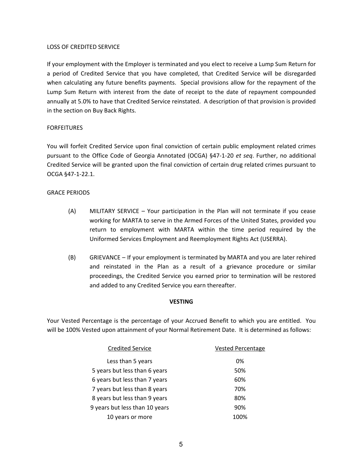#### LOSS OF CREDITED SERVICE

If your employment with the Employer is terminated and you elect to receive a Lump Sum Return for a period of Credited Service that you have completed, that Credited Service will be disregarded when calculating any future benefits payments. Special provisions allow for the repayment of the Lump Sum Return with interest from the date of receipt to the date of repayment compounded annually at 5.0% to have that Credited Service reinstated. A description of that provision is provided in the section on Buy Back Rights.

#### FORFEITURES

You will forfeit Credited Service upon final conviction of certain public employment related crimes pursuant to the Office Code of Georgia Annotated (OCGA) §47-1-20 *et seq*. Further, no additional Credited Service will be granted upon the final conviction of certain drug related crimes pursuant to OCGA §47-1-22.1.

#### GRACE PERIODS

- (A) MILITARY SERVICE Your participation in the Plan will not terminate if you cease working for MARTA to serve in the Armed Forces of the United States, provided you return to employment with MARTA within the time period required by the Uniformed Services Employment and Reemployment Rights Act (USERRA).
- (B) GRIEVANCE If your employment is terminated by MARTA and you are later rehired and reinstated in the Plan as a result of a grievance procedure or similar proceedings, the Credited Service you earned prior to termination will be restored and added to any Credited Service you earn thereafter.

#### **VESTING**

Your Vested Percentage is the percentage of your Accrued Benefit to which you are entitled. You will be 100% Vested upon attainment of your Normal Retirement Date. It is determined as follows:

| <b>Credited Service</b>        | <b>Vested Percentage</b> |
|--------------------------------|--------------------------|
| Less than 5 years              | 0%                       |
| 5 years but less than 6 years  | 50%                      |
| 6 years but less than 7 years  | 60%                      |
| 7 years but less than 8 years  | 70%                      |
| 8 years but less than 9 years  | 80%                      |
| 9 years but less than 10 years | 90%                      |
| 10 years or more               | 100%                     |
|                                |                          |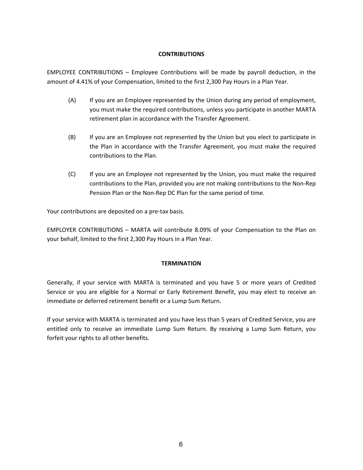#### **CONTRIBUTIONS**

EMPLOYEE CONTRIBUTIONS – Employee Contributions will be made by payroll deduction, in the amount of 4.41% of your Compensation, limited to the first 2,300 Pay Hours in a Plan Year.

- (A) If you are an Employee represented by the Union during any period of employment, you must make the required contributions, unless you participate in another MARTA retirement plan in accordance with the Transfer Agreement.
- (B) If you are an Employee not represented by the Union but you elect to participate in the Plan in accordance with the Transfer Agreement, you must make the required contributions to the Plan.
- (C) If you are an Employee not represented by the Union, you must make the required contributions to the Plan, provided you are not making contributions to the Non-Rep Pension Plan or the Non-Rep DC Plan for the same period of time.

Your contributions are deposited on a pre-tax basis.

EMPLOYER CONTRIBUTIONS – MARTA will contribute 8.09% of your Compensation to the Plan on your behalf, limited to the first 2,300 Pay Hours in a Plan Year.

#### **TERMINATION**

Generally, if your service with MARTA is terminated and you have 5 or more years of Credited Service or you are eligible for a Normal or Early Retirement Benefit, you may elect to receive an immediate or deferred retirement benefit or a Lump Sum Return.

If your service with MARTA is terminated and you have less than 5 years of Credited Service, you are entitled only to receive an immediate Lump Sum Return. By receiving a Lump Sum Return, you forfeit your rights to all other benefits.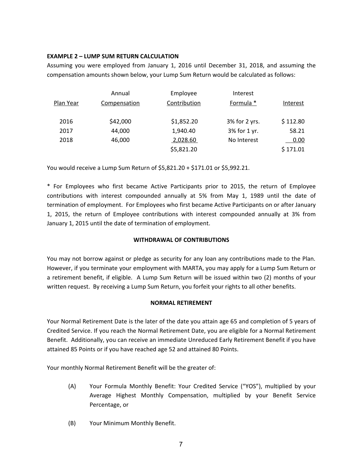#### **EXAMPLE 2 – LUMP SUM RETURN CALCULATION**

Assuming you were employed from January 1, 2016 until December 31, 2018, and assuming the compensation amounts shown below, your Lump Sum Return would be calculated as follows:

|           | Annual       | Employee     | Interest      |          |
|-----------|--------------|--------------|---------------|----------|
| Plan Year | Compensation | Contribution | Formula *     | Interest |
| 2016      | \$42,000     | \$1,852.20   | 3% for 2 yrs. | \$112.80 |
| 2017      | 44,000       | 1,940.40     | 3% for 1 yr.  | 58.21    |
| 2018      | 46,000       | 2,028.60     | No Interest   | 0.00     |
|           |              | \$5,821.20   |               | \$171.01 |

You would receive a Lump Sum Return of \$5,821.20 + \$171.01 or \$5,992.21.

\* For Employees who first became Active Participants prior to 2015, the return of Employee contributions with interest compounded annually at 5% from May 1, 1989 until the date of termination of employment. For Employees who first became Active Participants on or after January 1, 2015, the return of Employee contributions with interest compounded annually at 3% from January 1, 2015 until the date of termination of employment.

#### **WITHDRAWAL OF CONTRIBUTIONS**

You may not borrow against or pledge as security for any loan any contributions made to the Plan. However, if you terminate your employment with MARTA, you may apply for a Lump Sum Return or a retirement benefit, if eligible. A Lump Sum Return will be issued within two (2) months of your written request. By receiving a Lump Sum Return, you forfeit your rights to all other benefits.

#### **NORMAL RETIREMENT**

Your Normal Retirement Date is the later of the date you attain age 65 and completion of 5 years of Credited Service. If you reach the Normal Retirement Date, you are eligible for a Normal Retirement Benefit. Additionally, you can receive an immediate Unreduced Early Retirement Benefit if you have attained 85 Points or if you have reached age 52 and attained 80 Points.

Your monthly Normal Retirement Benefit will be the greater of:

- (A) Your Formula Monthly Benefit: Your Credited Service ("YOS"), multiplied by your Average Highest Monthly Compensation, multiplied by your Benefit Service Percentage, or
- (B) Your Minimum Monthly Benefit.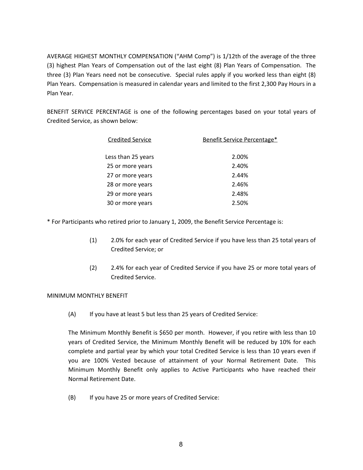AVERAGE HIGHEST MONTHLY COMPENSATION ("AHM Comp") is 1/12th of the average of the three (3) highest Plan Years of Compensation out of the last eight (8) Plan Years of Compensation. The three (3) Plan Years need not be consecutive. Special rules apply if you worked less than eight (8) Plan Years. Compensation is measured in calendar years and limited to the first 2,300 Pay Hours in a Plan Year.

BENEFIT SERVICE PERCENTAGE is one of the following percentages based on your total years of Credited Service, as shown below:

| <b>Credited Service</b> | Benefit Service Percentage* |
|-------------------------|-----------------------------|
|                         |                             |
| Less than 25 years      | 2.00%                       |
| 25 or more years        | 2.40%                       |
| 27 or more years        | 2.44%                       |
| 28 or more years        | 2.46%                       |
| 29 or more years        | 2.48%                       |
| 30 or more years        | 2.50%                       |

\* For Participants who retired prior to January 1, 2009, the Benefit Service Percentage is:

- (1) 2.0% for each year of Credited Service if you have less than 25 total years of Credited Service; or
- (2) 2.4% for each year of Credited Service if you have 25 or more total years of Credited Service.

#### MINIMUM MONTHLY BENEFIT

(A) If you have at least 5 but less than 25 years of Credited Service:

The Minimum Monthly Benefit is \$650 per month. However, if you retire with less than 10 years of Credited Service, the Minimum Monthly Benefit will be reduced by 10% for each complete and partial year by which your total Credited Service is less than 10 years even if you are 100% Vested because of attainment of your Normal Retirement Date. This Minimum Monthly Benefit only applies to Active Participants who have reached their Normal Retirement Date.

(B) If you have 25 or more years of Credited Service: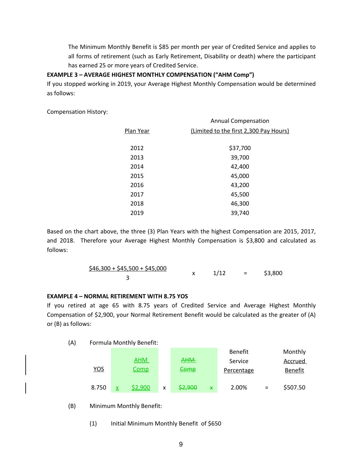The Minimum Monthly Benefit is \$85 per month per year of Credited Service and applies to all forms of retirement (such as Early Retirement, Disability or death) where the participant has earned 25 or more years of Credited Service.

## **EXAMPLE 3 – AVERAGE HIGHEST MONTHLY COMPENSATION ("AHM Comp")**

If you stopped working in 2019, your Average Highest Monthly Compensation would be determined as follows:

Compensation History:

|           | <b>Annual Compensation</b>             |
|-----------|----------------------------------------|
| Plan Year | (Limited to the first 2,300 Pay Hours) |
|           |                                        |
| 2012      | \$37,700                               |
| 2013      | 39,700                                 |
| 2014      | 42,400                                 |
| 2015      | 45,000                                 |
| 2016      | 43,200                                 |
| 2017      | 45,500                                 |
| 2018      | 46,300                                 |
| 2019      | 39,740                                 |
|           |                                        |

Based on the chart above, the three (3) Plan Years with the highest Compensation are 2015, 2017, and 2018. Therefore your Average Highest Monthly Compensation is \$3,800 and calculated as follows:

| $$46,300 + $45,500 + $45,000$ | 1/12 | \$3,800 |
|-------------------------------|------|---------|
|                               |      |         |

#### **EXAMPLE 4 – NORMAL RETIREMENT WITH 8.75 YOS**

If you retired at age 65 with 8.75 years of Credited Service and Average Highest Monthly Compensation of \$2,900, your Normal Retirement Benefit would be calculated as the greater of (A) or (B) as follows:

(A) Formula Monthly Benefit:

|            |   |             |   |            |   | <b>Benefit</b>    |     | Monthly        |
|------------|---|-------------|---|------------|---|-------------------|-----|----------------|
|            |   | <u>AHM</u>  |   | <b>AHM</b> |   | Service           |     | Accrued        |
| <u>YOS</u> |   | <u>Comp</u> |   | Comp       |   | <b>Percentage</b> |     | <b>Benefit</b> |
| 8.750      | x | \$2.900     | x | \$2,900    | X | 2.00%             | $=$ | \$507.50       |

- (B) Minimum Monthly Benefit:
	- (1) Initial Minimum Monthly Benefit of \$650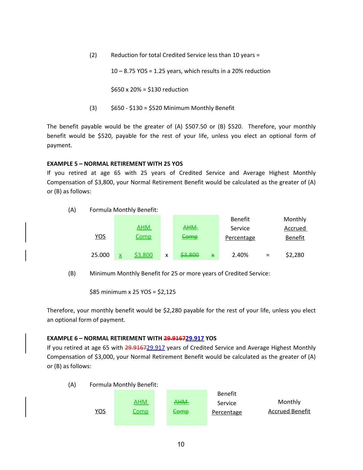(2) Reduction for total Credited Service less than 10 years =

 $10 - 8.75$  YOS = 1.25 years, which results in a 20% reduction

\$650 x 20% = \$130 reduction

 $(3)$  \$650 - \$130 = \$520 Minimum Monthly Benefit

The benefit payable would be the greater of (A) \$507.50 or (B) \$520. Therefore, your monthly benefit would be \$520, payable for the rest of your life, unless you elect an optional form of payment.

#### **EXAMPLE 5 – NORMAL RETIREMENT WITH 25 YOS**

If you retired at age 65 with 25 years of Credited Service and Average Highest Monthly Compensation of \$3,800, your Normal Retirement Benefit would be calculated as the greater of (A) or (B) as follows:



|        |                |   |            |   | Benefit           |     | Monthly        |
|--------|----------------|---|------------|---|-------------------|-----|----------------|
|        | <u>AHM</u>     |   | <b>AHM</b> |   | Service           |     | Accrued        |
| YOS    | <u>Comp</u>    |   | Comp       |   | <b>Percentage</b> |     | <b>Benefit</b> |
| 25.000 | <u>\$3,800</u> | x | \$3,800    | X | 2.40%             | $=$ | \$2,280        |

(B) Minimum Monthly Benefit for 25 or more years of Credited Service:

\$85 minimum x 25 YOS = \$2,125

Therefore, your monthly benefit would be \$2,280 payable for the rest of your life, unless you elect an optional form of payment.

#### **EXAMPLE 6 – NORMAL RETIREMENT WITH 29.916729.917 YOS**

If you retired at age 65 with 29.916729.917 years of Credited Service and Average Highest Monthly Compensation of \$3,000, your Normal Retirement Benefit would be calculated as the greater of (A) or (B) as follows:

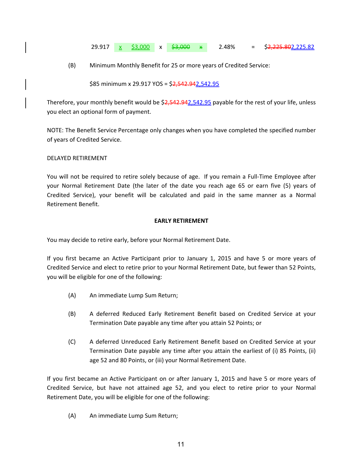#### 29.917 x \$3,000 x \$3,000 x 2.48% = \$2,225.82

(B) Minimum Monthly Benefit for 25 or more years of Credited Service:

\$85 minimum x 29.917 YOS = \$2,542.942,542.95

Therefore, your monthly benefit would be \$2,542.942,542.95 payable for the rest of your life, unless you elect an optional form of payment.

NOTE: The Benefit Service Percentage only changes when you have completed the specified number of years of Credited Service.

#### DELAYED RETIREMENT

You will not be required to retire solely because of age. If you remain a Full-Time Employee after your Normal Retirement Date (the later of the date you reach age 65 or earn five (5) years of Credited Service), your benefit will be calculated and paid in the same manner as a Normal Retirement Benefit.

#### **EARLY RETIREMENT**

You may decide to retire early, before your Normal Retirement Date.

If you first became an Active Participant prior to January 1, 2015 and have 5 or more years of Credited Service and elect to retire prior to your Normal Retirement Date, but fewer than 52 Points, you will be eligible for one of the following:

- (A) An immediate Lump Sum Return;
- (B) A deferred Reduced Early Retirement Benefit based on Credited Service at your Termination Date payable any time after you attain 52 Points; or
- (C) A deferred Unreduced Early Retirement Benefit based on Credited Service at your Termination Date payable any time after you attain the earliest of (i) 85 Points, (ii) age 52 and 80 Points, or (iii) your Normal Retirement Date.

If you first became an Active Participant on or after January 1, 2015 and have 5 or more years of Credited Service, but have not attained age 52, and you elect to retire prior to your Normal Retirement Date, you will be eligible for one of the following:

(A) An immediate Lump Sum Return;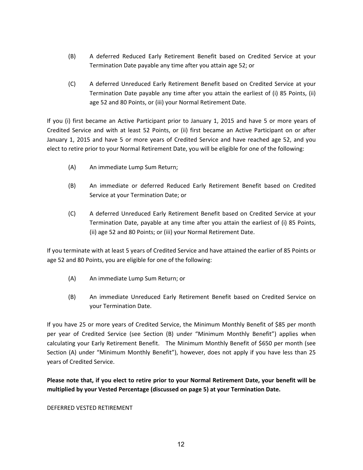- (B) A deferred Reduced Early Retirement Benefit based on Credited Service at your Termination Date payable any time after you attain age 52; or
- (C) A deferred Unreduced Early Retirement Benefit based on Credited Service at your Termination Date payable any time after you attain the earliest of (i) 85 Points, (ii) age 52 and 80 Points, or (iii) your Normal Retirement Date.

If you (i) first became an Active Participant prior to January 1, 2015 and have 5 or more years of Credited Service and with at least 52 Points, or (ii) first became an Active Participant on or after January 1, 2015 and have 5 or more years of Credited Service and have reached age 52, and you elect to retire prior to your Normal Retirement Date, you will be eligible for one of the following:

- (A) An immediate Lump Sum Return;
- (B) An immediate or deferred Reduced Early Retirement Benefit based on Credited Service at your Termination Date; or
- (C) A deferred Unreduced Early Retirement Benefit based on Credited Service at your Termination Date, payable at any time after you attain the earliest of (i) 85 Points, (ii) age 52 and 80 Points; or (iii) your Normal Retirement Date.

If you terminate with at least 5 years of Credited Service and have attained the earlier of 85 Points or age 52 and 80 Points, you are eligible for one of the following:

- (A) An immediate Lump Sum Return; or
- (B) An immediate Unreduced Early Retirement Benefit based on Credited Service on your Termination Date.

If you have 25 or more years of Credited Service, the Minimum Monthly Benefit of \$85 per month per year of Credited Service (see Section (B) under "Minimum Monthly Benefit") applies when calculating your Early Retirement Benefit. The Minimum Monthly Benefit of \$650 per month (see Section (A) under "Minimum Monthly Benefit"), however, does not apply if you have less than 25 years of Credited Service.

**Please note that, if you elect to retire prior to your Normal Retirement Date, your benefit will be multiplied by your Vested Percentage (discussed on page 5) at your Termination Date.**

#### DEFERRED VESTED RETIREMENT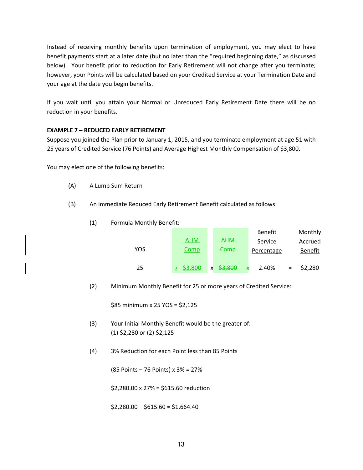Instead of receiving monthly benefits upon termination of employment, you may elect to have benefit payments start at a later date (but no later than the "required beginning date," as discussed below). Your benefit prior to reduction for Early Retirement will not change after you terminate; however, your Points will be calculated based on your Credited Service at your Termination Date and your age at the date you begin benefits.

If you wait until you attain your Normal or Unreduced Early Retirement Date there will be no reduction in your benefits.

## **EXAMPLE 7 – REDUCED EARLY RETIREMENT**

Suppose you joined the Plan prior to January 1, 2015, and you terminate employment at age 51 with 25 years of Credited Service (76 Points) and Average Highest Monthly Compensation of \$3,800.

You may elect one of the following benefits:

- (A) A Lump Sum Return
- (B) An immediate Reduced Early Retirement Benefit calculated as follows:
	- (1) Formula Monthly Benefit:

|     |             |              | <b>Benefit</b>    |     | Monthly        |
|-----|-------------|--------------|-------------------|-----|----------------|
|     | <u>AHM</u>  | <b>AHM</b>   | Service           |     | Accrued        |
| YOS | <b>Comp</b> | <u>Comp</u>  | <b>Percentage</b> |     | <b>Benefit</b> |
| 25  | \$3,800     | \$3,800<br>X | 2.40%             | $=$ | \$2,280        |

(2) Minimum Monthly Benefit for 25 or more years of Credited Service:

\$85 minimum x 25 YOS = \$2,125

- (3) Your Initial Monthly Benefit would be the greater of: (1) \$2,280 or (2) \$2,125
- (4) 3% Reduction for each Point less than 85 Points

(85 Points – 76 Points) x 3% = 27%

\$2,280.00 x 27% = \$615.60 reduction

 $$2,280.00 - $615.60 = $1,664.40$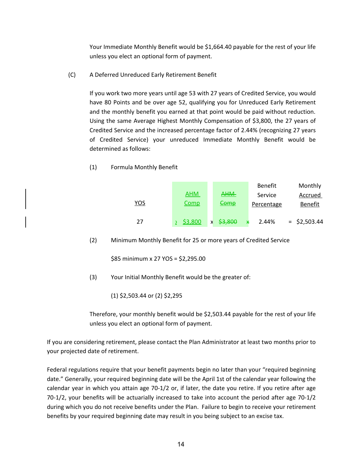Your Immediate Monthly Benefit would be \$1,664.40 payable for the rest of your life unless you elect an optional form of payment.

(C) A Deferred Unreduced Early Retirement Benefit

If you work two more years until age 53 with 27 years of Credited Service, you would have 80 Points and be over age 52, qualifying you for Unreduced Early Retirement and the monthly benefit you earned at that point would be paid without reduction. Using the same Average Highest Monthly Compensation of \$3,800, the 27 years of Credited Service and the increased percentage factor of 2.44% (recognizing 27 years of Credited Service) your unreduced Immediate Monthly Benefit would be determined as follows:

(1) Formula Monthly Benefit

|            |             |                   | <b>Benefit</b>    | Monthly        |
|------------|-------------|-------------------|-------------------|----------------|
|            | <b>AHM</b>  | <b>AHM</b>        | Service           | Accrued        |
| <u>YOS</u> | <u>Comp</u> | <u>Comp</u>       | <b>Percentage</b> | <b>Benefit</b> |
| 27         | \$3,800     | \$3,800<br>x<br>X | 2.44%             | $=$ \$2,503.44 |

(2) Minimum Monthly Benefit for 25 or more years of Credited Service

\$85 minimum x 27 YOS = \$2,295.00

(3) Your Initial Monthly Benefit would be the greater of:

(1) \$2,503.44 or (2) \$2,295

Therefore, your monthly benefit would be \$2,503.44 payable for the rest of your life unless you elect an optional form of payment.

If you are considering retirement, please contact the Plan Administrator at least two months prior to your projected date of retirement.

Federal regulations require that your benefit payments begin no later than your "required beginning date." Generally, your required beginning date will be the April 1st of the calendar year following the calendar year in which you attain age 70-1/2 or, if later, the date you retire. If you retire after age 70-1/2, your benefits will be actuarially increased to take into account the period after age 70-1/2 during which you do not receive benefits under the Plan. Failure to begin to receive your retirement benefits by your required beginning date may result in you being subject to an excise tax.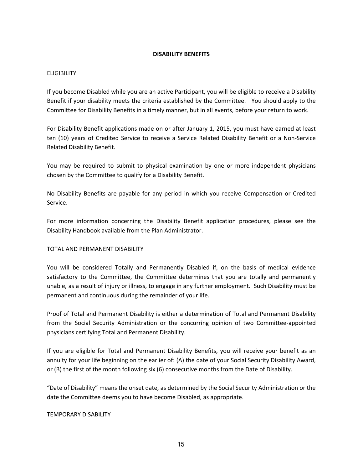#### **DISABILITY BENEFITS**

#### ELIGIBILITY

If you become Disabled while you are an active Participant, you will be eligible to receive a Disability Benefit if your disability meets the criteria established by the Committee. You should apply to the Committee for Disability Benefits in a timely manner, but in all events, before your return to work.

For Disability Benefit applications made on or after January 1, 2015, you must have earned at least ten (10) years of Credited Service to receive a Service Related Disability Benefit or a Non-Service Related Disability Benefit.

You may be required to submit to physical examination by one or more independent physicians chosen by the Committee to qualify for a Disability Benefit.

No Disability Benefits are payable for any period in which you receive Compensation or Credited Service.

For more information concerning the Disability Benefit application procedures, please see the Disability Handbook available from the Plan Administrator.

#### TOTAL AND PERMANENT DISABILITY

You will be considered Totally and Permanently Disabled if, on the basis of medical evidence satisfactory to the Committee, the Committee determines that you are totally and permanently unable, as a result of injury or illness, to engage in any further employment. Such Disability must be permanent and continuous during the remainder of your life.

Proof of Total and Permanent Disability is either a determination of Total and Permanent Disability from the Social Security Administration or the concurring opinion of two Committee-appointed physicians certifying Total and Permanent Disability.

If you are eligible for Total and Permanent Disability Benefits, you will receive your benefit as an annuity for your life beginning on the earlier of: (A) the date of your Social Security Disability Award, or (B) the first of the month following six (6) consecutive months from the Date of Disability.

"Date of Disability" means the onset date, as determined by the Social Security Administration or the date the Committee deems you to have become Disabled, as appropriate.

#### TEMPORARY DISABILITY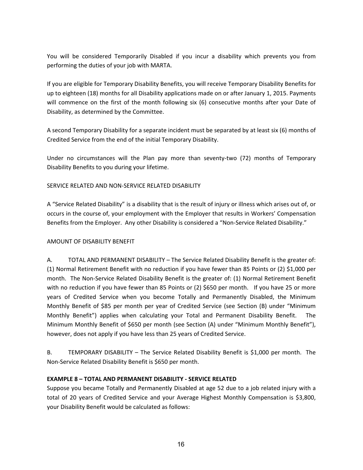You will be considered Temporarily Disabled if you incur a disability which prevents you from performing the duties of your job with MARTA.

If you are eligible for Temporary Disability Benefits, you will receive Temporary Disability Benefits for up to eighteen (18) months for all Disability applications made on or after January 1, 2015. Payments will commence on the first of the month following six (6) consecutive months after your Date of Disability, as determined by the Committee.

A second Temporary Disability for a separate incident must be separated by at least six (6) months of Credited Service from the end of the initial Temporary Disability.

Under no circumstances will the Plan pay more than seventy-two (72) months of Temporary Disability Benefits to you during your lifetime.

## SERVICE RELATED AND NON-SERVICE RELATED DISABILITY

A "Service Related Disability" is a disability that is the result of injury or illness which arises out of, or occurs in the course of, your employment with the Employer that results in Workers' Compensation Benefits from the Employer. Any other Disability is considered a "Non-Service Related Disability."

#### AMOUNT OF DISABILITY BENEFIT

A. TOTAL AND PERMANENT DISABILITY – The Service Related Disability Benefit is the greater of: (1) Normal Retirement Benefit with no reduction if you have fewer than 85 Points or (2) \$1,000 per month. The Non-Service Related Disability Benefit is the greater of: (1) Normal Retirement Benefit with no reduction if you have fewer than 85 Points or (2) \$650 per month. If you have 25 or more years of Credited Service when you become Totally and Permanently Disabled, the Minimum Monthly Benefit of \$85 per month per year of Credited Service (see Section (B) under "Minimum Monthly Benefit") applies when calculating your Total and Permanent Disability Benefit. The Minimum Monthly Benefit of \$650 per month (see Section (A) under "Minimum Monthly Benefit"), however, does not apply if you have less than 25 years of Credited Service.

B. TEMPORARY DISABILITY – The Service Related Disability Benefit is \$1,000 per month. The Non-Service Related Disability Benefit is \$650 per month.

#### **EXAMPLE 8 – TOTAL AND PERMANENT DISABILITY - SERVICE RELATED**

Suppose you became Totally and Permanently Disabled at age 52 due to a job related injury with a total of 20 years of Credited Service and your Average Highest Monthly Compensation is \$3,800, your Disability Benefit would be calculated as follows: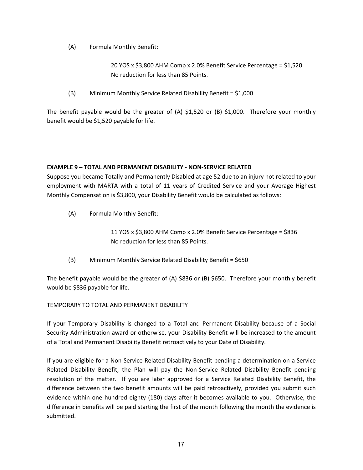(A) Formula Monthly Benefit:

20 YOS x \$3,800 AHM Comp x 2.0% Benefit Service Percentage = \$1,520 No reduction for less than 85 Points.

(B) Minimum Monthly Service Related Disability Benefit = \$1,000

The benefit payable would be the greater of (A)  $$1,520$  or (B)  $$1,000$ . Therefore your monthly benefit would be \$1,520 payable for life.

#### **EXAMPLE 9 – TOTAL AND PERMANENT DISABILITY - NON-SERVICE RELATED**

Suppose you became Totally and Permanently Disabled at age 52 due to an injury not related to your employment with MARTA with a total of 11 years of Credited Service and your Average Highest Monthly Compensation is \$3,800, your Disability Benefit would be calculated as follows:

(A) Formula Monthly Benefit:

11 YOS x \$3,800 AHM Comp x 2.0% Benefit Service Percentage = \$836 No reduction for less than 85 Points.

(B) Minimum Monthly Service Related Disability Benefit = \$650

The benefit payable would be the greater of (A) \$836 or (B) \$650. Therefore your monthly benefit would be \$836 payable for life.

TEMPORARY TO TOTAL AND PERMANENT DISABILITY

If your Temporary Disability is changed to a Total and Permanent Disability because of a Social Security Administration award or otherwise, your Disability Benefit will be increased to the amount of a Total and Permanent Disability Benefit retroactively to your Date of Disability.

If you are eligible for a Non-Service Related Disability Benefit pending a determination on a Service Related Disability Benefit, the Plan will pay the Non-Service Related Disability Benefit pending resolution of the matter. If you are later approved for a Service Related Disability Benefit, the difference between the two benefit amounts will be paid retroactively, provided you submit such evidence within one hundred eighty (180) days after it becomes available to you. Otherwise, the difference in benefits will be paid starting the first of the month following the month the evidence is submitted.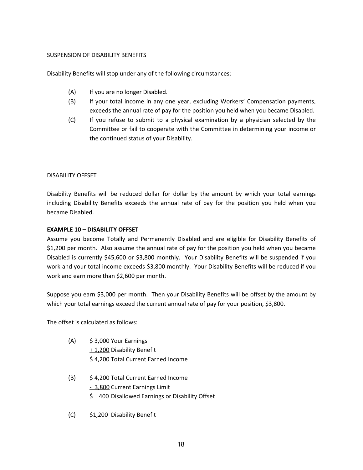#### SUSPENSION OF DISABILITY BENEFITS

Disability Benefits will stop under any of the following circumstances:

- (A) If you are no longer Disabled.
- (B) If your total income in any one year, excluding Workers' Compensation payments, exceeds the annual rate of pay for the position you held when you became Disabled.
- (C) If you refuse to submit to a physical examination by a physician selected by the Committee or fail to cooperate with the Committee in determining your income or the continued status of your Disability.

#### DISABILITY OFFSET

Disability Benefits will be reduced dollar for dollar by the amount by which your total earnings including Disability Benefits exceeds the annual rate of pay for the position you held when you became Disabled.

#### **EXAMPLE 10 – DISABILITY OFFSET**

Assume you become Totally and Permanently Disabled and are eligible for Disability Benefits of \$1,200 per month. Also assume the annual rate of pay for the position you held when you became Disabled is currently \$45,600 or \$3,800 monthly. Your Disability Benefits will be suspended if you work and your total income exceeds \$3,800 monthly. Your Disability Benefits will be reduced if you work and earn more than \$2,600 per month.

Suppose you earn \$3,000 per month. Then your Disability Benefits will be offset by the amount by which your total earnings exceed the current annual rate of pay for your position, \$3,800.

The offset is calculated as follows:

- (A) \$ 3,000 Your Earnings + 1,200 Disability Benefit \$ 4,200 Total Current Earned Income
- (B) \$ 4,200 Total Current Earned Income - 3,800 Current Earnings Limit
	- \$400 Disallowed Earnings or Disability Offset
- (C) \$1,200 Disability Benefit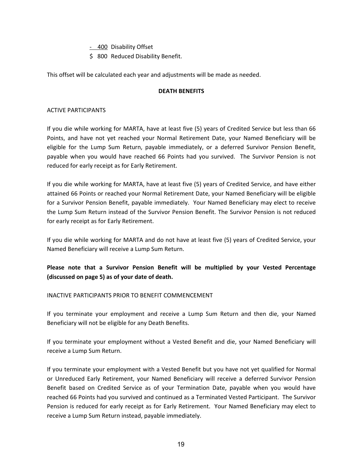- 400 Disability Offset

\$ 800 Reduced Disability Benefit.

This offset will be calculated each year and adjustments will be made as needed.

#### **DEATH BENEFITS**

#### ACTIVE PARTICIPANTS

If you die while working for MARTA, have at least five (5) years of Credited Service but less than 66 Points, and have not yet reached your Normal Retirement Date, your Named Beneficiary will be eligible for the Lump Sum Return, payable immediately, or a deferred Survivor Pension Benefit, payable when you would have reached 66 Points had you survived. The Survivor Pension is not reduced for early receipt as for Early Retirement.

If you die while working for MARTA, have at least five (5) years of Credited Service, and have either attained 66 Points or reached your Normal Retirement Date, your Named Beneficiary will be eligible for a Survivor Pension Benefit, payable immediately. Your Named Beneficiary may elect to receive the Lump Sum Return instead of the Survivor Pension Benefit. The Survivor Pension is not reduced for early receipt as for Early Retirement.

If you die while working for MARTA and do not have at least five (5) years of Credited Service, your Named Beneficiary will receive a Lump Sum Return.

**Please note that a Survivor Pension Benefit will be multiplied by your Vested Percentage (discussed on page 5) as of your date of death.**

#### INACTIVE PARTICIPANTS PRIOR TO BENEFIT COMMENCEMENT

If you terminate your employment and receive a Lump Sum Return and then die, your Named Beneficiary will not be eligible for any Death Benefits.

If you terminate your employment without a Vested Benefit and die, your Named Beneficiary will receive a Lump Sum Return.

If you terminate your employment with a Vested Benefit but you have not yet qualified for Normal or Unreduced Early Retirement, your Named Beneficiary will receive a deferred Survivor Pension Benefit based on Credited Service as of your Termination Date, payable when you would have reached 66 Points had you survived and continued as a Terminated Vested Participant. The Survivor Pension is reduced for early receipt as for Early Retirement. Your Named Beneficiary may elect to receive a Lump Sum Return instead, payable immediately.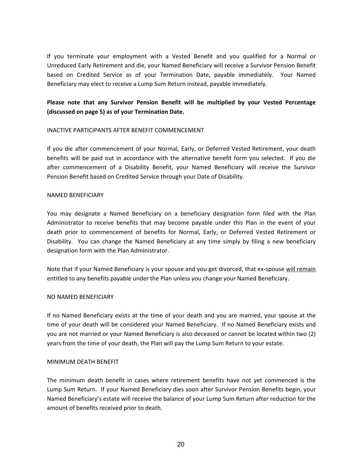If you terminate your employment with a Vested Benefit and you qualified for a Normal or Unreduced Early Retirement and die, your Named Beneficiary will receive a Survivor Pension Benefit based on Credited Service as of your Termination Date, payable immediately. Your Named Beneficiary may elect to receive a Lump Sum Return instead, payable immediately.

## **Please note that any Survivor Pension Benefit will be multiplied by your Vested Percentage (discussed on page 5) as of your Termination Date.**

#### INACTIVE PARTICIPANTS AFTER BENEFIT COMMENCEMENT

If you die after commencement of your Normal, Early, or Deferred Vested Retirement, your death benefits will be paid out in accordance with the alternative benefit form you selected. If you die after commencement of a Disability Benefit, your Named Beneficiary will receive the Survivor Pension Benefit based on Credited Service through your Date of Disability.

#### NAMED BENEFICIARY

You may designate a Named Beneficiary on a beneficiary designation form filed with the Plan Administrator to receive benefits that may become payable under this Plan in the event of your death prior to commencement of benefits for Normal, Early, or Deferred Vested Retirement or Disability. You can change the Named Beneficiary at any time simply by filing a new beneficiary designation form with the Plan Administrator.

Note that if your Named Beneficiary is your spouse and you get divorced, that ex-spouse will remain entitled to any benefits payable under the Plan unless you change your Named Beneficiary.

#### NO NAMED BENEFICIARY

If no Named Beneficiary exists at the time of your death and you are married, your spouse at the time of your death will be considered your Named Beneficiary. If no Named Beneficiary exists and you are not married or your Named Beneficiary is also deceased or cannot be located within two (2) years from the time of your death, the Plan will pay the Lump Sum Return to your estate.

#### MINIMUM DEATH BENEFIT

The minimum death benefit in cases where retirement benefits have not yet commenced is the Lump Sum Return. If your Named Beneficiary dies soon after Survivor Pension Benefits begin, your Named Beneficiary's estate will receive the balance of your Lump Sum Return after reduction for the amount of benefits received prior to death.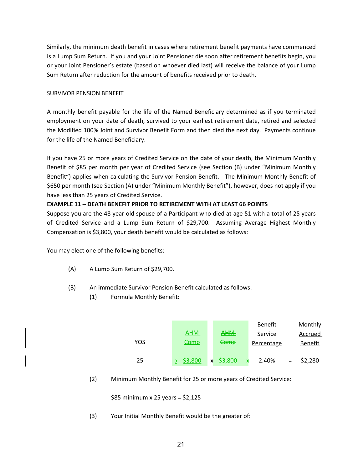Similarly, the minimum death benefit in cases where retirement benefit payments have commenced is a Lump Sum Return. If you and your Joint Pensioner die soon after retirement benefits begin, you or your Joint Pensioner's estate (based on whoever died last) will receive the balance of your Lump Sum Return after reduction for the amount of benefits received prior to death.

## SURVIVOR PENSION BENEFIT

A monthly benefit payable for the life of the Named Beneficiary determined as if you terminated employment on your date of death, survived to your earliest retirement date, retired and selected the Modified 100% Joint and Survivor Benefit Form and then died the next day. Payments continue for the life of the Named Beneficiary.

If you have 25 or more years of Credited Service on the date of your death, the Minimum Monthly Benefit of \$85 per month per year of Credited Service (see Section (B) under "Minimum Monthly Benefit") applies when calculating the Survivor Pension Benefit. The Minimum Monthly Benefit of \$650 per month (see Section (A) under "Minimum Monthly Benefit"), however, does not apply if you have less than 25 years of Credited Service.

## **EXAMPLE 11 – DEATH BENEFIT PRIOR TO RETIREMENT WITH AT LEAST 66 POINTS**

Suppose you are the 48 year old spouse of a Participant who died at age 51 with a total of 25 years of Credited Service and a Lump Sum Return of \$29,700. Assuming Average Highest Monthly Compensation is \$3,800, your death benefit would be calculated as follows:

You may elect one of the following benefits:

- (A) A Lump Sum Return of \$29,700.
- (B) An immediate Survivor Pension Benefit calculated as follows:
	- (1) Formula Monthly Benefit:



(2) Minimum Monthly Benefit for 25 or more years of Credited Service:

\$85 minimum x 25 years = \$2,125

(3) Your Initial Monthly Benefit would be the greater of: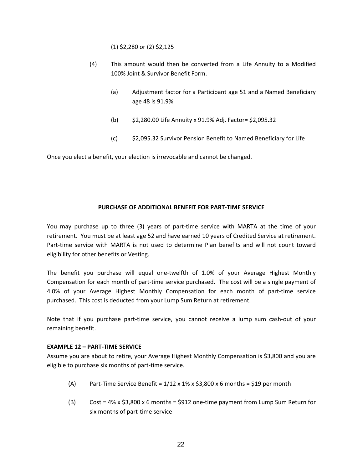(1) \$2,280 or (2) \$2,125

- (4) This amount would then be converted from a Life Annuity to a Modified 100% Joint & Survivor Benefit Form.
	- (a) Adjustment factor for a Participant age 51 and a Named Beneficiary age 48 is 91.9%
	- (b) \$2,280.00 Life Annuity x 91.9% Adj. Factor= \$2,095.32
	- (c) \$2,095.32 Survivor Pension Benefit to Named Beneficiary for Life

Once you elect a benefit, your election is irrevocable and cannot be changed.

## **PURCHASE OF ADDITIONAL BENEFIT FOR PART-TIME SERVICE**

You may purchase up to three (3) years of part-time service with MARTA at the time of your retirement. You must be at least age 52 and have earned 10 years of Credited Service at retirement. Part-time service with MARTA is not used to determine Plan benefits and will not count toward eligibility for other benefits or Vesting.

The benefit you purchase will equal one-twelfth of 1.0% of your Average Highest Monthly Compensation for each month of part-time service purchased. The cost will be a single payment of 4.0% of your Average Highest Monthly Compensation for each month of part-time service purchased. This cost is deducted from your Lump Sum Return at retirement.

Note that if you purchase part-time service, you cannot receive a lump sum cash-out of your remaining benefit.

#### **EXAMPLE 12 – PART-TIME SERVICE**

Assume you are about to retire, your Average Highest Monthly Compensation is \$3,800 and you are eligible to purchase six months of part-time service.

- (A) Part-Time Service Benefit =  $1/12 \times 1\% \times 53,800 \times 6$  months = \$19 per month
- (B)  $Cost = 4\% \times $3,800 \times 6$  months = \$912 one-time payment from Lump Sum Return for six months of part-time service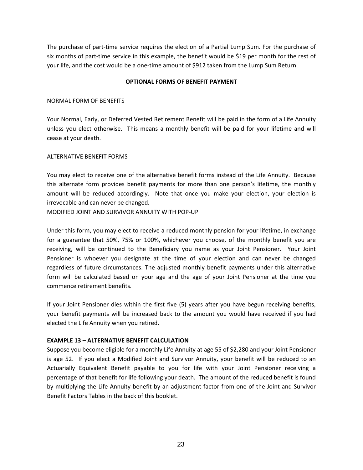The purchase of part-time service requires the election of a Partial Lump Sum. For the purchase of six months of part-time service in this example, the benefit would be \$19 per month for the rest of your life, and the cost would be a one-time amount of \$912 taken from the Lump Sum Return.

#### **OPTIONAL FORMS OF BENEFIT PAYMENT**

#### NORMAL FORM OF BENEFITS

Your Normal, Early, or Deferred Vested Retirement Benefit will be paid in the form of a Life Annuity unless you elect otherwise. This means a monthly benefit will be paid for your lifetime and will cease at your death.

#### ALTERNATIVE BENEFIT FORMS

You may elect to receive one of the alternative benefit forms instead of the Life Annuity. Because this alternate form provides benefit payments for more than one person's lifetime, the monthly amount will be reduced accordingly. Note that once you make your election, your election is irrevocable and can never be changed.

MODIFIED JOINT AND SURVIVOR ANNUITY WITH POP-UP

Under this form, you may elect to receive a reduced monthly pension for your lifetime, in exchange for a guarantee that 50%, 75% or 100%, whichever you choose, of the monthly benefit you are receiving, will be continued to the Beneficiary you name as your Joint Pensioner. Your Joint Pensioner is whoever you designate at the time of your election and can never be changed regardless of future circumstances. The adjusted monthly benefit payments under this alternative form will be calculated based on your age and the age of your Joint Pensioner at the time you commence retirement benefits.

If your Joint Pensioner dies within the first five (5) years after you have begun receiving benefits, your benefit payments will be increased back to the amount you would have received if you had elected the Life Annuity when you retired.

#### **EXAMPLE 13 – ALTERNATIVE BENEFIT CALCULATION**

Suppose you become eligible for a monthly Life Annuity at age 55 of \$2,280 and your Joint Pensioner is age 52. If you elect a Modified Joint and Survivor Annuity, your benefit will be reduced to an Actuarially Equivalent Benefit payable to you for life with your Joint Pensioner receiving a percentage of that benefit for life following your death. The amount of the reduced benefit is found by multiplying the Life Annuity benefit by an adjustment factor from one of the Joint and Survivor Benefit Factors Tables in the back of this booklet.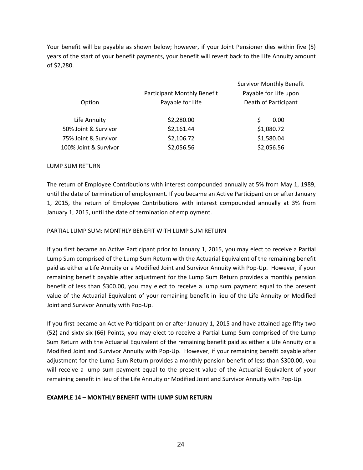Your benefit will be payable as shown below; however, if your Joint Pensioner dies within five (5) years of the start of your benefit payments, your benefit will revert back to the Life Annuity amount of \$2,280.

|                       |                                    | <b>Survivor Monthly Benefit</b> |
|-----------------------|------------------------------------|---------------------------------|
|                       | <b>Participant Monthly Benefit</b> | Payable for Life upon           |
| Option                | Payable for Life                   | Death of Participant            |
| Life Annuity          | \$2,280.00                         | S<br>0.00                       |
| 50% Joint & Survivor  | \$2,161.44                         | \$1,080.72                      |
| 75% Joint & Survivor  | \$2,106.72                         | \$1,580.04                      |
| 100% Joint & Survivor | \$2,056.56                         | \$2,056.56                      |

#### LUMP SUM RETURN

The return of Employee Contributions with interest compounded annually at 5% from May 1, 1989, until the date of termination of employment. If you became an Active Participant on or after January 1, 2015, the return of Employee Contributions with interest compounded annually at 3% from January 1, 2015, until the date of termination of employment.

#### PARTIAL LUMP SUM: MONTHLY BENEFIT WITH LUMP SUM RETURN

If you first became an Active Participant prior to January 1, 2015, you may elect to receive a Partial Lump Sum comprised of the Lump Sum Return with the Actuarial Equivalent of the remaining benefit paid as either a Life Annuity or a Modified Joint and Survivor Annuity with Pop-Up. However, if your remaining benefit payable after adjustment for the Lump Sum Return provides a monthly pension benefit of less than \$300.00, you may elect to receive a lump sum payment equal to the present value of the Actuarial Equivalent of your remaining benefit in lieu of the Life Annuity or Modified Joint and Survivor Annuity with Pop-Up.

If you first became an Active Participant on or after January 1, 2015 and have attained age fifty-two (52) and sixty-six (66) Points, you may elect to receive a Partial Lump Sum comprised of the Lump Sum Return with the Actuarial Equivalent of the remaining benefit paid as either a Life Annuity or a Modified Joint and Survivor Annuity with Pop-Up. However, if your remaining benefit payable after adjustment for the Lump Sum Return provides a monthly pension benefit of less than \$300.00, you will receive a lump sum payment equal to the present value of the Actuarial Equivalent of your remaining benefit in lieu of the Life Annuity or Modified Joint and Survivor Annuity with Pop-Up.

#### **EXAMPLE 14 – MONTHLY BENEFIT WITH LUMP SUM RETURN**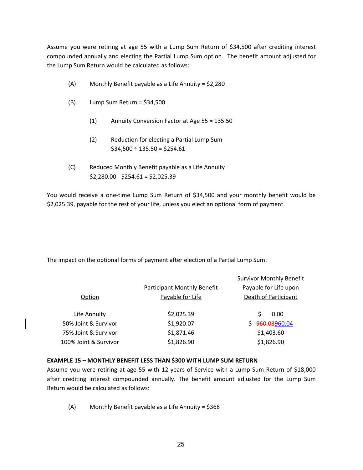Assume you were retiring at age 55 with a Lump Sum Return of \$34,500 after crediting interest compounded annually and electing the Partial Lump Sum option. The benefit amount adjusted for the Lump Sum Return would be calculated as follows:

- (A) Monthly Benefit payable as a Life Annuity = \$2,280
- $(B)$  Lump Sum Return = \$34,500
	- (1) Annuity Conversion Factor at Age 55 = 135.50
	- (2) Reduction for electing a Partial Lump Sum  $$34,500 \div 135.50 = $254.61$
- (C) Reduced Monthly Benefit payable as a Life Annuity \$2,280.00 - \$254.61 = \$2,025.39

You would receive a one-time Lump Sum Return of \$34,500 and your monthly benefit would be \$2,025.39, payable for the rest of your life, unless you elect an optional form of payment.

The impact on the optional forms of payment after election of a Partial Lump Sum:

|                       |                                    | <b>Survivor Monthly Benefit</b> |
|-----------------------|------------------------------------|---------------------------------|
|                       | <b>Participant Monthly Benefit</b> | Payable for Life upon           |
| Option                | Payable for Life                   | Death of Participant            |
| Life Annuity          | \$2,025.39                         | 0.00                            |
| 50% Joint & Survivor  | \$1,920.07                         | 960.03960.04<br>S.              |
| 75% Joint & Survivor  | \$1,871.46                         | \$1,403.60                      |
| 100% Joint & Survivor | \$1,826.90                         | \$1,826.90                      |
|                       |                                    |                                 |

#### **EXAMPLE 15 – MONTHLY BENEFIT LESS THAN \$300 WITH LUMP SUM RETURN**

Assume you were retiring at age 55 with 12 years of Service with a Lump Sum Return of \$18,000 after crediting interest compounded annually. The benefit amount adjusted for the Lump Sum Return would be calculated as follows:

(A) Monthly Benefit payable as a Life Annuity = \$368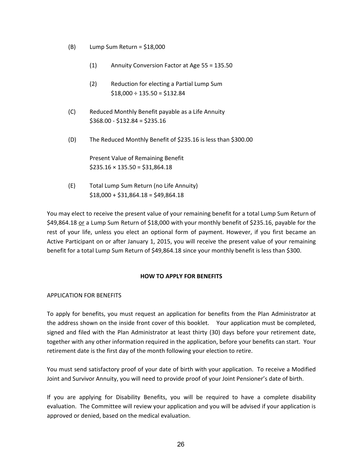- $(B)$  Lump Sum Return = \$18,000
	- (1) Annuity Conversion Factor at Age 55 = 135.50
	- (2) Reduction for electing a Partial Lump Sum  $$18,000 \div 135.50 = $132.84$
- (C) Reduced Monthly Benefit payable as a Life Annuity  $$368.00 - $132.84 = $235.16$
- (D) The Reduced Monthly Benefit of \$235.16 is less than \$300.00

Present Value of Remaining Benefit  $$235.16 \times 135.50 = $31,864.18$ 

(E) Total Lump Sum Return (no Life Annuity)  $$18,000 + $31,864.18 = $49,864.18$ 

You may elect to receive the present value of your remaining benefit for a total Lump Sum Return of \$49,864.18 or a Lump Sum Return of \$18,000 with your monthly benefit of \$235.16, payable for the rest of your life, unless you elect an optional form of payment. However, if you first became an Active Participant on or after January 1, 2015, you will receive the present value of your remaining benefit for a total Lump Sum Return of \$49,864.18 since your monthly benefit is less than \$300.

#### **HOW TO APPLY FOR BENEFITS**

#### APPLICATION FOR BENEFITS

To apply for benefits, you must request an application for benefits from the Plan Administrator at the address shown on the inside front cover of this booklet. Your application must be completed, signed and filed with the Plan Administrator at least thirty (30) days before your retirement date, together with any other information required in the application, before your benefits can start. Your retirement date is the first day of the month following your election to retire.

You must send satisfactory proof of your date of birth with your application. To receive a Modified Joint and Survivor Annuity, you will need to provide proof of your Joint Pensioner's date of birth.

If you are applying for Disability Benefits, you will be required to have a complete disability evaluation. The Committee will review your application and you will be advised if your application is approved or denied, based on the medical evaluation.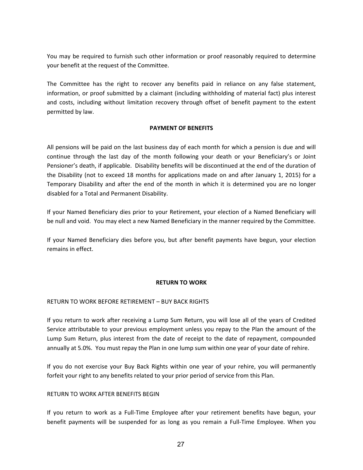You may be required to furnish such other information or proof reasonably required to determine your benefit at the request of the Committee.

The Committee has the right to recover any benefits paid in reliance on any false statement, information, or proof submitted by a claimant (including withholding of material fact) plus interest and costs, including without limitation recovery through offset of benefit payment to the extent permitted by law.

#### **PAYMENT OF BENEFITS**

All pensions will be paid on the last business day of each month for which a pension is due and will continue through the last day of the month following your death or your Beneficiary's or Joint Pensioner's death, if applicable. Disability benefits will be discontinued at the end of the duration of the Disability (not to exceed 18 months for applications made on and after January 1, 2015) for a Temporary Disability and after the end of the month in which it is determined you are no longer disabled for a Total and Permanent Disability.

If your Named Beneficiary dies prior to your Retirement, your election of a Named Beneficiary will be null and void. You may elect a new Named Beneficiary in the manner required by the Committee.

If your Named Beneficiary dies before you, but after benefit payments have begun, your election remains in effect.

#### **RETURN TO WORK**

#### RETURN TO WORK BEFORE RETIREMENT – BUY BACK RIGHTS

If you return to work after receiving a Lump Sum Return, you will lose all of the years of Credited Service attributable to your previous employment unless you repay to the Plan the amount of the Lump Sum Return, plus interest from the date of receipt to the date of repayment, compounded annually at 5.0%. You must repay the Plan in one lump sum within one year of your date of rehire.

If you do not exercise your Buy Back Rights within one year of your rehire, you will permanently forfeit your right to any benefits related to your prior period of service from this Plan.

#### RETURN TO WORK AFTER BENEFITS BEGIN

If you return to work as a Full-Time Employee after your retirement benefits have begun, your benefit payments will be suspended for as long as you remain a Full-Time Employee. When you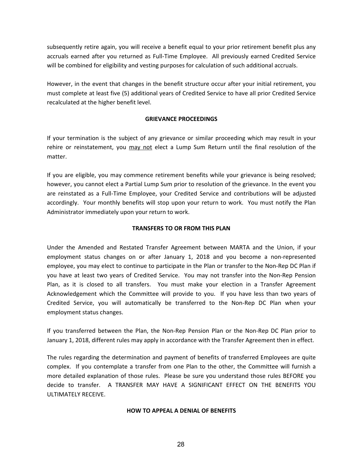subsequently retire again, you will receive a benefit equal to your prior retirement benefit plus any accruals earned after you returned as Full-Time Employee. All previously earned Credited Service will be combined for eligibility and vesting purposes for calculation of such additional accruals.

However, in the event that changes in the benefit structure occur after your initial retirement, you must complete at least five (5) additional years of Credited Service to have all prior Credited Service recalculated at the higher benefit level.

## **GRIEVANCE PROCEEDINGS**

If your termination is the subject of any grievance or similar proceeding which may result in your rehire or reinstatement, you may not elect a Lump Sum Return until the final resolution of the matter.

If you are eligible, you may commence retirement benefits while your grievance is being resolved; however, you cannot elect a Partial Lump Sum prior to resolution of the grievance. In the event you are reinstated as a Full-Time Employee, your Credited Service and contributions will be adjusted accordingly. Your monthly benefits will stop upon your return to work. You must notify the Plan Administrator immediately upon your return to work.

## **TRANSFERS TO OR FROM THIS PLAN**

Under the Amended and Restated Transfer Agreement between MARTA and the Union, if your employment status changes on or after January 1, 2018 and you become a non-represented employee, you may elect to continue to participate in the Plan or transfer to the Non-Rep DC Plan if you have at least two years of Credited Service. You may not transfer into the Non-Rep Pension Plan, as it is closed to all transfers. You must make your election in a Transfer Agreement Acknowledgement which the Committee will provide to you. If you have less than two years of Credited Service, you will automatically be transferred to the Non-Rep DC Plan when your employment status changes.

If you transferred between the Plan, the Non-Rep Pension Plan or the Non-Rep DC Plan prior to January 1, 2018, different rules may apply in accordance with the Transfer Agreement then in effect.

The rules regarding the determination and payment of benefits of transferred Employees are quite complex. If you contemplate a transfer from one Plan to the other, the Committee will furnish a more detailed explanation of those rules. Please be sure you understand those rules BEFORE you decide to transfer. A TRANSFER MAY HAVE A SIGNIFICANT EFFECT ON THE BENEFITS YOU ULTIMATELY RECEIVE.

#### **HOW TO APPEAL A DENIAL OF BENEFITS**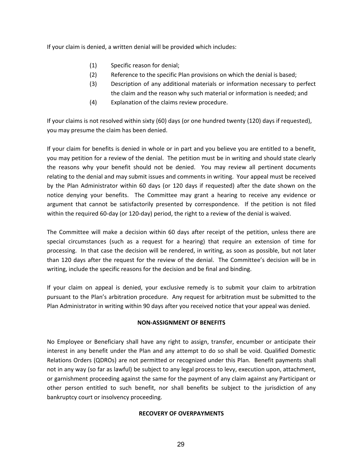If your claim is denied, a written denial will be provided which includes:

- (1) Specific reason for denial;
- (2) Reference to the specific Plan provisions on which the denial is based;
- (3) Description of any additional materials or information necessary to perfect the claim and the reason why such material or information is needed; and
- (4) Explanation of the claims review procedure.

If your claims is not resolved within sixty (60) days (or one hundred twenty (120) days if requested), you may presume the claim has been denied.

If your claim for benefits is denied in whole or in part and you believe you are entitled to a benefit, you may petition for a review of the denial. The petition must be in writing and should state clearly the reasons why your benefit should not be denied. You may review all pertinent documents relating to the denial and may submit issues and comments in writing. Your appeal must be received by the Plan Administrator within 60 days (or 120 days if requested) after the date shown on the notice denying your benefits. The Committee may grant a hearing to receive any evidence or argument that cannot be satisfactorily presented by correspondence. If the petition is not filed within the required 60-day (or 120-day) period, the right to a review of the denial is waived.

The Committee will make a decision within 60 days after receipt of the petition, unless there are special circumstances (such as a request for a hearing) that require an extension of time for processing. In that case the decision will be rendered, in writing, as soon as possible, but not later than 120 days after the request for the review of the denial. The Committee's decision will be in writing, include the specific reasons for the decision and be final and binding.

If your claim on appeal is denied, your exclusive remedy is to submit your claim to arbitration pursuant to the Plan's arbitration procedure. Any request for arbitration must be submitted to the Plan Administrator in writing within 90 days after you received notice that your appeal was denied.

## **NON-ASSIGNMENT OF BENEFITS**

No Employee or Beneficiary shall have any right to assign, transfer, encumber or anticipate their interest in any benefit under the Plan and any attempt to do so shall be void. Qualified Domestic Relations Orders (QDROs) are not permitted or recognized under this Plan. Benefit payments shall not in any way (so far as lawful) be subject to any legal process to levy, execution upon, attachment, or garnishment proceeding against the same for the payment of any claim against any Participant or other person entitled to such benefit, nor shall benefits be subject to the jurisdiction of any bankruptcy court or insolvency proceeding.

#### **RECOVERY OF OVERPAYMENTS**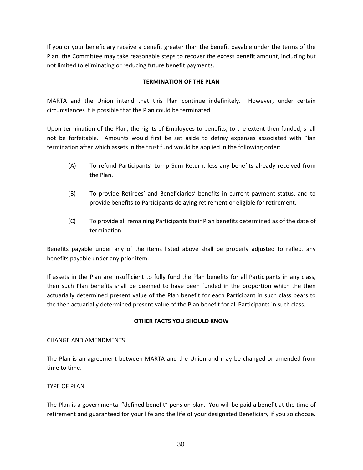If you or your beneficiary receive a benefit greater than the benefit payable under the terms of the Plan, the Committee may take reasonable steps to recover the excess benefit amount, including but not limited to eliminating or reducing future benefit payments.

## **TERMINATION OF THE PLAN**

MARTA and the Union intend that this Plan continue indefinitely. However, under certain circumstances it is possible that the Plan could be terminated.

Upon termination of the Plan, the rights of Employees to benefits, to the extent then funded, shall not be forfeitable. Amounts would first be set aside to defray expenses associated with Plan termination after which assets in the trust fund would be applied in the following order:

- (A) To refund Participants' Lump Sum Return, less any benefits already received from the Plan.
- (B) To provide Retirees' and Beneficiaries' benefits in current payment status, and to provide benefits to Participants delaying retirement or eligible for retirement.
- (C) To provide all remaining Participants their Plan benefits determined as of the date of termination.

Benefits payable under any of the items listed above shall be properly adjusted to reflect any benefits payable under any prior item.

If assets in the Plan are insufficient to fully fund the Plan benefits for all Participants in any class, then such Plan benefits shall be deemed to have been funded in the proportion which the then actuarially determined present value of the Plan benefit for each Participant in such class bears to the then actuarially determined present value of the Plan benefit for all Participants in such class.

## **OTHER FACTS YOU SHOULD KNOW**

#### CHANGE AND AMENDMENTS

The Plan is an agreement between MARTA and the Union and may be changed or amended from time to time.

#### TYPE OF PLAN

The Plan is a governmental "defined benefit" pension plan. You will be paid a benefit at the time of retirement and guaranteed for your life and the life of your designated Beneficiary if you so choose.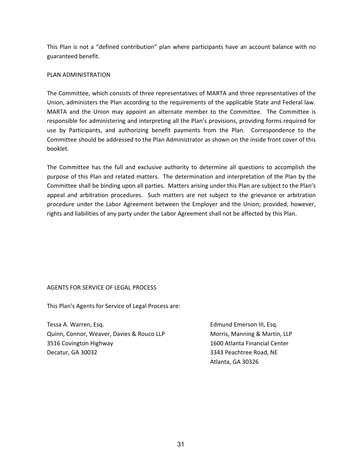This Plan is not a "defined contribution" plan where participants have an account balance with no guaranteed benefit.

## PLAN ADMINISTRATION

The Committee, which consists of three representatives of MARTA and three representatives of the Union, administers the Plan according to the requirements of the applicable State and Federal law. MARTA and the Union may appoint an alternate member to the Committee. The Committee is responsible for administering and interpreting all the Plan's provisions, providing forms required for use by Participants, and authorizing benefit payments from the Plan. Correspondence to the Committee should be addressed to the Plan Administrator as shown on the inside front cover of this booklet.

The Committee has the full and exclusive authority to determine all questions to accomplish the purpose of this Plan and related matters. The determination and interpretation of the Plan by the Committee shall be binding upon all parties. Matters arising under this Plan are subject to the Plan's appeal and arbitration procedures. Such matters are not subject to the grievance or arbitration procedure under the Labor Agreement between the Employer and the Union; provided, however, rights and liabilities of any party under the Labor Agreement shall not be affected by this Plan.

#### AGENTS FOR SERVICE OF LEGAL PROCESS

This Plan's Agents for Service of Legal Process are:

Tessa A. Warren, Esq. Quinn, Connor, Weaver, Davies & Rouco LLP 3516 Covington Highway Decatur, GA 30032

Edmund Emerson III, Esq. Morris, Manning & Martin, LLP 1600 Atlanta Financial Center 3343 Peachtree Road, NE Atlanta, GA 30326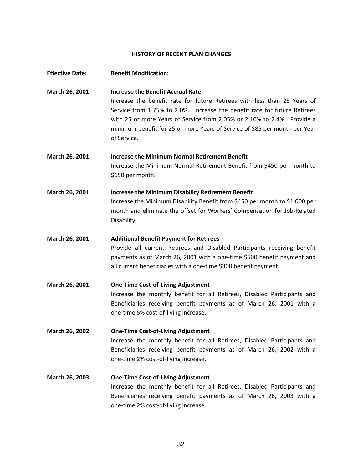#### **HISTORY OF RECENT PLAN CHANGES**

| <b>Effective Date:</b> | <b>Benefit Modification:</b>                                                                                                                                                                                                                                                                                                                                              |
|------------------------|---------------------------------------------------------------------------------------------------------------------------------------------------------------------------------------------------------------------------------------------------------------------------------------------------------------------------------------------------------------------------|
| March 26, 2001         | <b>Increase the Benefit Accrual Rate</b><br>Increase the benefit rate for future Retirees with less than 25 Years of<br>Service from 1.75% to 2.0%. Increase the benefit rate for future Retirees<br>with 25 or more Years of Service from 2.05% or 2.10% to 2.4%. Provide a<br>minimum benefit for 25 or more Years of Service of \$85 per month per Year<br>of Service. |
| March 26, 2001         | <b>Increase the Minimum Normal Retirement Benefit</b><br>Increase the Minimum Normal Retirement Benefit from \$450 per month to<br>\$650 per month.                                                                                                                                                                                                                       |
| March 26, 2001         | <b>Increase the Minimum Disability Retirement Benefit</b><br>Increase the Minimum Disability Benefit from \$450 per month to \$1,000 per<br>month and eliminate the offset for Workers' Compensation for Job-Related<br>Disability.                                                                                                                                       |
| March 26, 2001         | <b>Additional Benefit Payment for Retirees</b><br>Provide all current Retirees and Disabled Participants receiving benefit<br>payments as of March 26, 2001 with a one-time \$500 benefit payment and<br>all current beneficiaries with a one-time \$300 benefit payment.                                                                                                 |
| March 26, 2001         | <b>One-Time Cost-of-Living Adjustment</b><br>Increase the monthly benefit for all Retirees, Disabled Participants and<br>Beneficiaries receiving benefit payments as of March 26, 2001 with a<br>one-time 5% cost-of-living increase.                                                                                                                                     |
| March 26, 2002         | <b>One-Time Cost-of-Living Adjustment</b><br>Increase the monthly benefit for all Retirees, Disabled Participants and<br>Beneficiaries receiving benefit payments as of March 26, 2002 with a<br>one-time 2% cost-of-living increase.                                                                                                                                     |
| March 26, 2003         | <b>One-Time Cost-of-Living Adjustment</b><br>Increase the monthly benefit for all Retirees, Disabled Participants and<br>Beneficiaries receiving benefit payments as of March 26, 2003 with a<br>one-time 2% cost-of-living increase.                                                                                                                                     |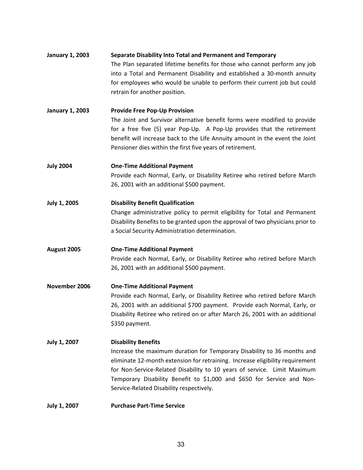# **January 1, 2003 Separate Disability Into Total and Permanent and Temporary** The Plan separated lifetime benefits for those who cannot perform any job into a Total and Permanent Disability and established a 30-month annuity for employees who would be unable to perform their current job but could retrain for another position.

**January 1, 2003 Provide Free Pop-Up Provision** The Joint and Survivor alternative benefit forms were modified to provide for a free five (5) year Pop-Up. A Pop-Up provides that the retirement benefit will increase back to the Life Annuity amount in the event the Joint Pensioner dies within the first five years of retirement.

**July 2004 One-Time Additional Payment** Provide each Normal, Early, or Disability Retiree who retired before March 26, 2001 with an additional \$500 payment.

**July 1, 2005 Disability Benefit Qualification** Change administrative policy to permit eligibility for Total and Permanent Disability Benefits to be granted upon the approval of two physicians prior to a Social Security Administration determination.

**August 2005 One-Time Additional Payment** Provide each Normal, Early, or Disability Retiree who retired before March 26, 2001 with an additional \$500 payment.

**November 2006 One-Time Additional Payment** Provide each Normal, Early, or Disability Retiree who retired before March 26, 2001 with an additional \$700 payment. Provide each Normal, Early, or Disability Retiree who retired on or after March 26, 2001 with an additional \$350 payment.

**July 1, 2007 Disability Benefits** Increase the maximum duration for Temporary Disability to 36 months and eliminate 12-month extension for retraining. Increase eligibility requirement for Non-Service-Related Disability to 10 years of service. Limit Maximum Temporary Disability Benefit to \$1,000 and \$650 for Service and Non-Service-Related Disability respectively.

**July 1, 2007 Purchase Part-Time Service**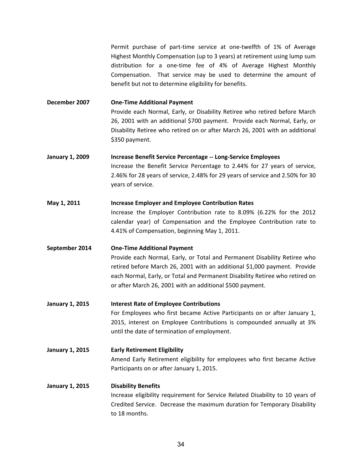Permit purchase of part-time service at one-twelfth of 1% of Average Highest Monthly Compensation (up to 3 years) at retirement using lump sum distribution for a one-time fee of 4% of Average Highest Monthly Compensation. That service may be used to determine the amount of benefit but not to determine eligibility for benefits.

**December 2007 One-Time Additional Payment** Provide each Normal, Early, or Disability Retiree who retired before March 26, 2001 with an additional \$700 payment. Provide each Normal, Early, or Disability Retiree who retired on or after March 26, 2001 with an additional \$350 payment.

**January 1, 2009 Increase Benefit Service Percentage -- Long-Service Employees** Increase the Benefit Service Percentage to 2.44% for 27 years of service, 2.46% for 28 years of service, 2.48% for 29 years of service and 2.50% for 30 years of service.

#### **May 1, 2011 Increase Employer and Employee Contribution Rates**

Increase the Employer Contribution rate to 8.09% (6.22% for the 2012 calendar year) of Compensation and the Employee Contribution rate to 4.41% of Compensation, beginning May 1, 2011.

#### **September 2014 One-Time Additional Payment**

Provide each Normal, Early, or Total and Permanent Disability Retiree who retired before March 26, 2001 with an additional \$1,000 payment. Provide each Normal, Early, or Total and Permanent Disability Retiree who retired on or after March 26, 2001 with an additional \$500 payment.

- **January 1, 2015 Interest Rate of Employee Contributions** For Employees who first became Active Participants on or after January 1, 2015, interest on Employee Contributions is compounded annually at 3% until the date of termination of employment.
- **January 1, 2015 Early Retirement Eligibility** Amend Early Retirement eligibility for employees who first became Active Participants on or after January 1, 2015.

# **January 1, 2015 Disability Benefits** Increase eligibility requirement for Service Related Disability to 10 years of Credited Service. Decrease the maximum duration for Temporary Disability to 18 months.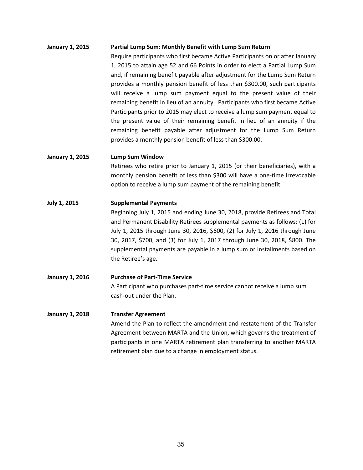#### **January 1, 2015 Partial Lump Sum: Monthly Benefit with Lump Sum Return**

Require participants who first became Active Participants on or after January 1, 2015 to attain age 52 and 66 Points in order to elect a Partial Lump Sum and, if remaining benefit payable after adjustment for the Lump Sum Return provides a monthly pension benefit of less than \$300.00, such participants will receive a lump sum payment equal to the present value of their remaining benefit in lieu of an annuity. Participants who first became Active Participants prior to 2015 may elect to receive a lump sum payment equal to the present value of their remaining benefit in lieu of an annuity if the remaining benefit payable after adjustment for the Lump Sum Return provides a monthly pension benefit of less than \$300.00.

#### **January 1, 2015 Lump Sum Window**

Retirees who retire prior to January 1, 2015 (or their beneficiaries), with a monthly pension benefit of less than \$300 will have a one-time irrevocable option to receive a lump sum payment of the remaining benefit.

#### **July 1, 2015 Supplemental Payments**

Beginning July 1, 2015 and ending June 30, 2018, provide Retirees and Total and Permanent Disability Retirees supplemental payments as follows: (1) for July 1, 2015 through June 30, 2016, \$600, (2) for July 1, 2016 through June 30, 2017, \$700, and (3) for July 1, 2017 through June 30, 2018, \$800. The supplemental payments are payable in a lump sum or installments based on the Retiree's age.

## **January 1, 2016 Purchase of Part-Time Service** A Participant who purchases part-time service cannot receive a lump sum cash-out under the Plan.

#### **January 1, 2018 Transfer Agreement**

Amend the Plan to reflect the amendment and restatement of the Transfer Agreement between MARTA and the Union, which governs the treatment of participants in one MARTA retirement plan transferring to another MARTA retirement plan due to a change in employment status.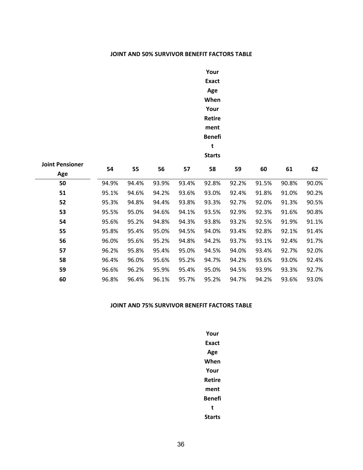#### **JOINT AND 50% SURVIVOR BENEFIT FACTORS TABLE**

# **Your Exact Age When Your Retire ment Benefi t**

**Starts**

| <b>Joint Pensioner</b><br>Age | 54    | 55    | 56    | 57    | 58    | 59    | 60    | 61    | 62    |
|-------------------------------|-------|-------|-------|-------|-------|-------|-------|-------|-------|
| 50                            | 94.9% | 94.4% | 93.9% | 93.4% | 92.8% | 92.2% | 91.5% | 90.8% | 90.0% |
| 51                            | 95.1% | 94.6% | 94.2% | 93.6% | 93.0% | 92.4% | 91.8% | 91.0% | 90.2% |
| 52                            | 95.3% | 94.8% | 94.4% | 93.8% | 93.3% | 92.7% | 92.0% | 91.3% | 90.5% |
| 53                            | 95.5% | 95.0% | 94.6% | 94.1% | 93.5% | 92.9% | 92.3% | 91.6% | 90.8% |
| 54                            | 95.6% | 95.2% | 94.8% | 94.3% | 93.8% | 93.2% | 92.5% | 91.9% | 91.1% |
| 55                            | 95.8% | 95.4% | 95.0% | 94.5% | 94.0% | 93.4% | 92.8% | 92.1% | 91.4% |
| 56                            | 96.0% | 95.6% | 95.2% | 94.8% | 94.2% | 93.7% | 93.1% | 92.4% | 91.7% |
| 57                            | 96.2% | 95.8% | 95.4% | 95.0% | 94.5% | 94.0% | 93.4% | 92.7% | 92.0% |
| 58                            | 96.4% | 96.0% | 95.6% | 95.2% | 94.7% | 94.2% | 93.6% | 93.0% | 92.4% |
| 59                            | 96.6% | 96.2% | 95.9% | 95.4% | 95.0% | 94.5% | 93.9% | 93.3% | 92.7% |
| 60                            | 96.8% | 96.4% | 96.1% | 95.7% | 95.2% | 94.7% | 94.2% | 93.6% | 93.0% |

#### **JOINT AND 75% SURVIVOR BENEFIT FACTORS TABLE**

**Your Exact Age When Your Retire ment Benefi t Starts**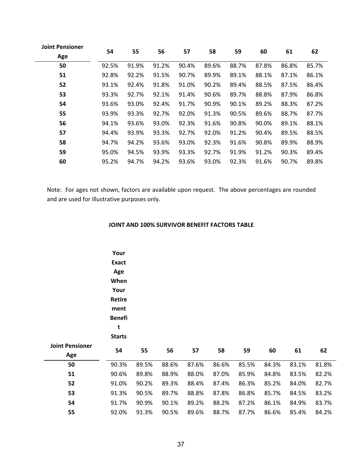| <b>Joint Pensioner</b> |       |       |       |       |       |       |       |       |       |
|------------------------|-------|-------|-------|-------|-------|-------|-------|-------|-------|
| Age                    | 54    | 55    | 56    | 57    | 58    | 59    | 60    | 61    | 62    |
| 50                     | 92.5% | 91.9% | 91.2% | 90.4% | 89.6% | 88.7% | 87.8% | 86.8% | 85.7% |
| 51                     | 92.8% | 92.2% | 91.5% | 90.7% | 89.9% | 89.1% | 88.1% | 87.1% | 86.1% |
| 52                     | 93.1% | 92.4% | 91.8% | 91.0% | 90.2% | 89.4% | 88.5% | 87.5% | 86.4% |
| 53                     | 93.3% | 92.7% | 92.1% | 91.4% | 90.6% | 89.7% | 88.8% | 87.9% | 86.8% |
| 54                     | 93.6% | 93.0% | 92.4% | 91.7% | 90.9% | 90.1% | 89.2% | 88.3% | 87.2% |
| 55                     | 93.9% | 93.3% | 92.7% | 92.0% | 91.3% | 90.5% | 89.6% | 88.7% | 87.7% |
| 56                     | 94.1% | 93.6% | 93.0% | 92.3% | 91.6% | 90.8% | 90.0% | 89.1% | 88.1% |
| 57                     | 94.4% | 93.9% | 93.3% | 92.7% | 92.0% | 91.2% | 90.4% | 89.5% | 88.5% |
| 58                     | 94.7% | 94.2% | 93.6% | 93.0% | 92.3% | 91.6% | 90.8% | 89.9% | 88.9% |
| 59                     | 95.0% | 94.5% | 93.9% | 93.3% | 92.7% | 91.9% | 91.2% | 90.3% | 89.4% |
| 60                     | 95.2% | 94.7% | 94.2% | 93.6% | 93.0% | 92.3% | 91.6% | 90.7% | 89.8% |

Note: For ages not shown, factors are available upon request. The above percentages are rounded and are used for illustrative purposes only.

## **JOINT AND 100% SURVIVOR BENEFIT FACTORS TABLE**

|                        | Your<br><b>Exact</b><br>Age<br>When<br>Your<br><b>Retire</b><br>ment<br><b>Benefi</b><br>t<br><b>Starts</b> |       |       |       |       |       |       |       |       |
|------------------------|-------------------------------------------------------------------------------------------------------------|-------|-------|-------|-------|-------|-------|-------|-------|
| <b>Joint Pensioner</b> | 54                                                                                                          | 55    | 56    | 57    | 58    | 59    | 60    | 61    | 62    |
| Age                    |                                                                                                             |       |       |       |       |       |       |       |       |
| 50                     | 90.3%                                                                                                       | 89.5% | 88.6% | 87.6% | 86.6% | 85.5% | 84.3% | 83.1% | 81.8% |
| 51                     | 90.6%                                                                                                       | 89.8% | 88.9% | 88.0% | 87.0% | 85.9% | 84.8% | 83.5% | 82.2% |
| 52                     | 91.0%                                                                                                       | 90.2% | 89.3% | 88.4% | 87.4% | 86.3% | 85.2% | 84.0% | 82.7% |
| 53                     | 91.3%                                                                                                       | 90.5% | 89.7% | 88.8% | 87.8% | 86.8% | 85.7% | 84.5% | 83.2% |
| 54                     | 91.7%                                                                                                       | 90.9% | 90.1% | 89.2% | 88.2% | 87.2% | 86.1% | 84.9% | 83.7% |
| 55                     | 92.0%                                                                                                       | 91.3% | 90.5% | 89.6% | 88.7% | 87.7% | 86.6% | 85.4% | 84.2% |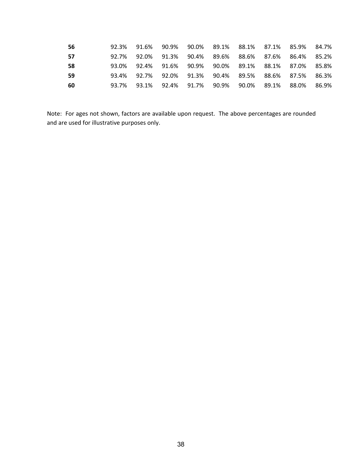| 56 |       | 92.3% 91.6% 90.9% 90.0% 89.1% 88.1% 87.1% 85.9% 84.7%        |  |  |  |
|----|-------|--------------------------------------------------------------|--|--|--|
| 57 | 92.7% | 92.0%  91.3%   90.4%   89.6%   88.6%   87.6%   86.4%   85.2% |  |  |  |
| 58 |       | 93.0% 92.4% 91.6% 90.9% 90.0% 89.1% 88.1% 87.0% 85.8%        |  |  |  |
| 59 |       | 93.4% 92.7% 92.0% 91.3% 90.4% 89.5% 88.6% 87.5% 86.3%        |  |  |  |
| 60 |       | 93.7% 93.1% 92.4% 91.7% 90.9% 90.0% 89.1% 88.0% 86.9%        |  |  |  |

Note: For ages not shown, factors are available upon request. The above percentages are rounded and are used for illustrative purposes only.